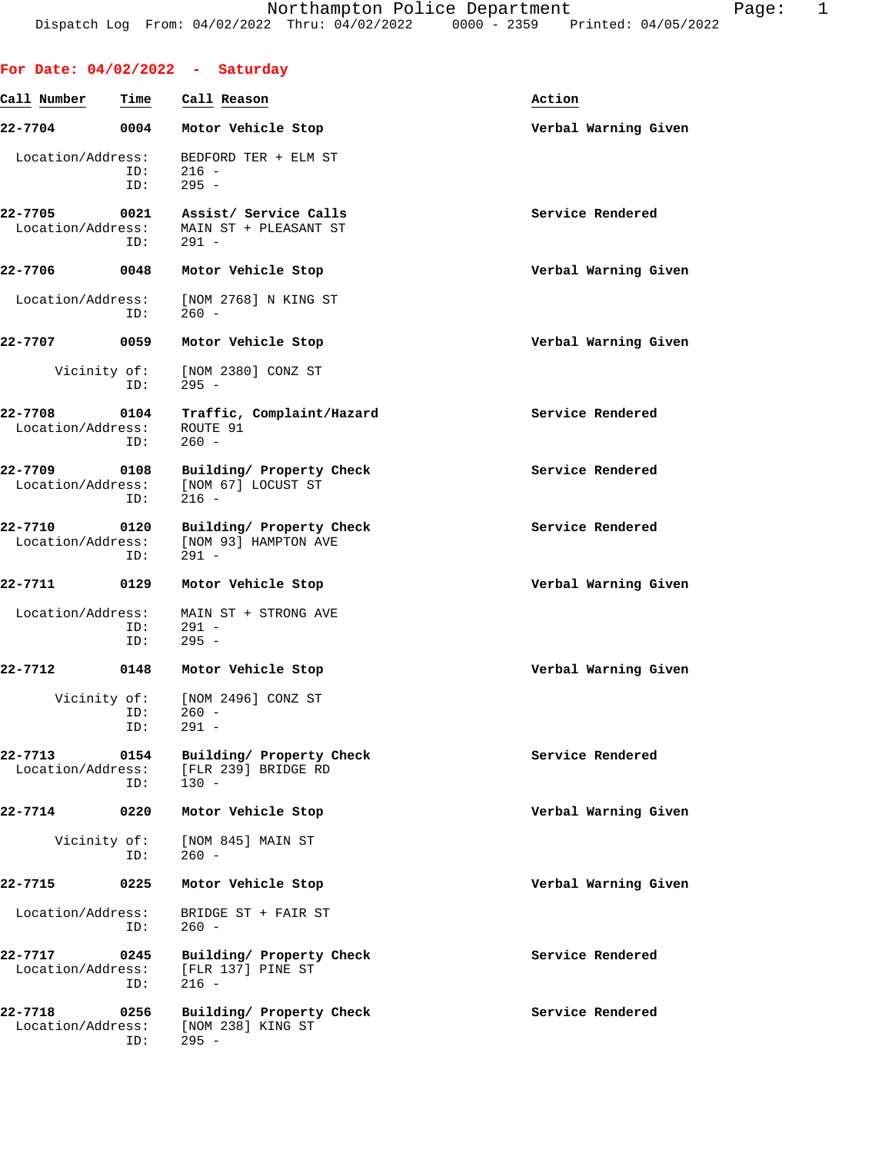**For Date: 04/02/2022 - Saturday Call Number Time Call Reason Action 22-7704 0004 Motor Vehicle Stop Verbal Warning Given** Location/Address: BEDFORD TER + ELM ST ID: 216 - ID: 295 - **22-7705 0021 Assist/ Service Calls Service Rendered** Location/Address: MAIN ST + PLEASANT ST ID: 291 - **22-7706 0048 Motor Vehicle Stop Verbal Warning Given** Location/Address: [NOM 2768] N KING ST ID: 260 - **22-7707 0059 Motor Vehicle Stop Verbal Warning Given** Vicinity of: [NOM 2380] CONZ ST ID: 295 - **22-7708** 0104 Traffic, Complaint/Hazard Service Rendered Location/Address: ROUTE 91 Location/Address: ID: 260 - 22-7709 0108 Building/ Property Check **Service Rendered**  Location/Address: [NOM 67] LOCUST ST ID: 216 - **22-7710 0120 Building/ Property Check Service Rendered** Location/Address: [NOM 93] HAMPTON AVE ID: 291 - **22-7711 0129 Motor Vehicle Stop Verbal Warning Given** Location/Address: MAIN ST + STRONG AVE<br>ID: 291 -ID: 291 -<br>ID: 295 - $295 -$ **22-7712 0148 Motor Vehicle Stop Verbal Warning Given** Vicinity of: [NOM 2496] CONZ ST ID: 260 - ID: 291 - **22-7713** 0154 Building/ Property Check Service Rendered Location/Address: [FLR 239] BRIDGE RD [FLR 239] BRIDGE RD ID: 130 - **22-7714 0220 Motor Vehicle Stop Verbal Warning Given** Vicinity of: [NOM 845] MAIN ST ID: 260 - **22-7715 0225 Motor Vehicle Stop Verbal Warning Given** Location/Address: BRIDGE ST + FAIR ST ID: 260 - **22-7717** 0245 Building/ Property Check Service Rendered Location/Address: [FLR 137] PINE ST [FLR 137] PINE ST ID: 216 -

**22-7718 0256 Building/ Property Check Service Rendered** Location/Address: [NOM 238] KING ST ID: 295 -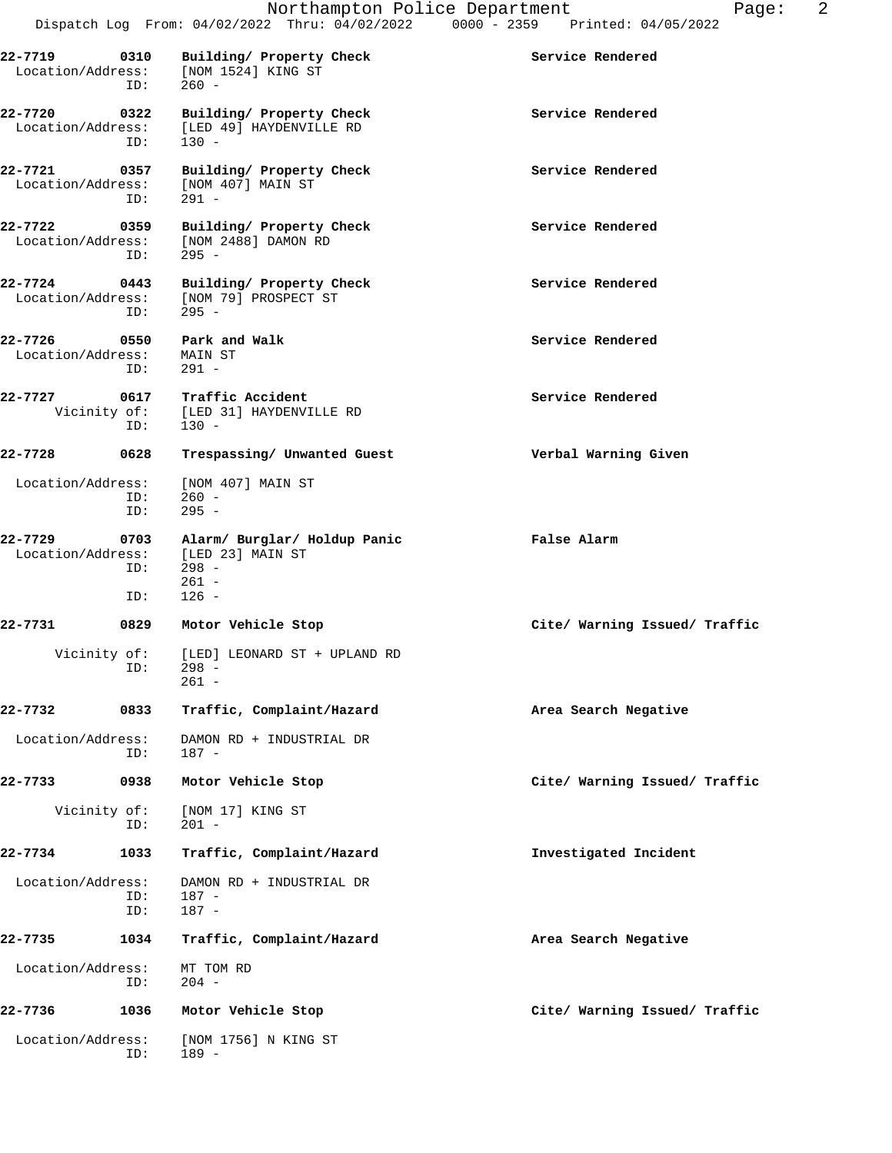| $22 - 7719$                       | 0310                | Building/ Property Check<br>Location/Address: [NOM 1524] KING ST<br>ID: 260 -                               | Service Rendered              |
|-----------------------------------|---------------------|-------------------------------------------------------------------------------------------------------------|-------------------------------|
| $22 - 7720$                       | 0322<br>ID:         | Building/ Property Check<br>Location/Address: [LED 49] HAYDENVILLE RD<br>$130 -$                            | Service Rendered              |
| 22-7721<br>Location/Address:      | 0357<br>ID:         | Building/ Property Check<br>[NOM 407] MAIN ST<br>$291 -$                                                    | Service Rendered              |
| 22-7722 0359<br>Location/Address: | ID:                 | Building/ Property Check<br>[NOM 2488] DAMON RD<br>$295 -$                                                  | Service Rendered              |
| 22-7724 0443                      | ID:                 | Building/ Property Check<br>Location/Address: [NOM 79] PROSPECT ST<br>$295 -$                               | Service Rendered              |
| 22-7726 0550<br>Location/Address: | ID:                 | Park and Walk<br>MAIN ST<br>$291 -$                                                                         | Service Rendered              |
| $22 - 7727$                       | Vicinity of:<br>ID: | 0617 Traffic Accident<br>[LED 31] HAYDENVILLE RD<br>$130 -$                                                 | Service Rendered              |
| 22-7728                           | 0628                | Trespassing/ Unwanted Guest                                                                                 | Verbal Warning Given          |
| Location/Address:                 | ID:<br>ID:          | [NOM 407] MAIN ST<br>$260 -$<br>$295 -$                                                                     |                               |
| 22-7729<br>Location/Address:      | ID:<br>ID:          | 0703 Alarm/ Burglar/ Holdup Panic New York Palse Alarm<br>[LED 23] MAIN ST<br>$298 -$<br>$261 -$<br>$126 -$ |                               |
| 22-7731                           |                     | 0829 Motor Vehicle Stop                                                                                     | Cite/ Warning Issued/ Traffic |
|                                   | Vicinity of:<br>ID: | [LED] LEONARD ST + UPLAND RD<br>$298 -$<br>$261 -$                                                          |                               |
| 22-7732                           | 0833                | Traffic, Complaint/Hazard                                                                                   | Area Search Negative          |
| Location/Address:                 | ID:                 | DAMON RD + INDUSTRIAL DR<br>$187 -$                                                                         |                               |
| $22 - 7733$                       | 0938                | Motor Vehicle Stop                                                                                          | Cite/ Warning Issued/ Traffic |
|                                   | Vicinity of:<br>ID: | [NOM 17] KING ST<br>$201 -$                                                                                 |                               |
| 22-7734                           | 1033                | Traffic, Complaint/Hazard                                                                                   | Investigated Incident         |
| Location/Address:                 | ID:<br>ID:          | DAMON RD + INDUSTRIAL DR<br>$187 -$<br>$187 -$                                                              |                               |
| 22-7735                           | 1034                | Traffic, Complaint/Hazard                                                                                   | Area Search Negative          |
| Location/Address:                 | ID:                 | MT TOM RD<br>$204 -$                                                                                        |                               |
| 22-7736                           | 1036                | Motor Vehicle Stop                                                                                          | Cite/ Warning Issued/ Traffic |
| Location/Address:                 | ID:                 | [NOM 1756] N KING ST<br>$189 -$                                                                             |                               |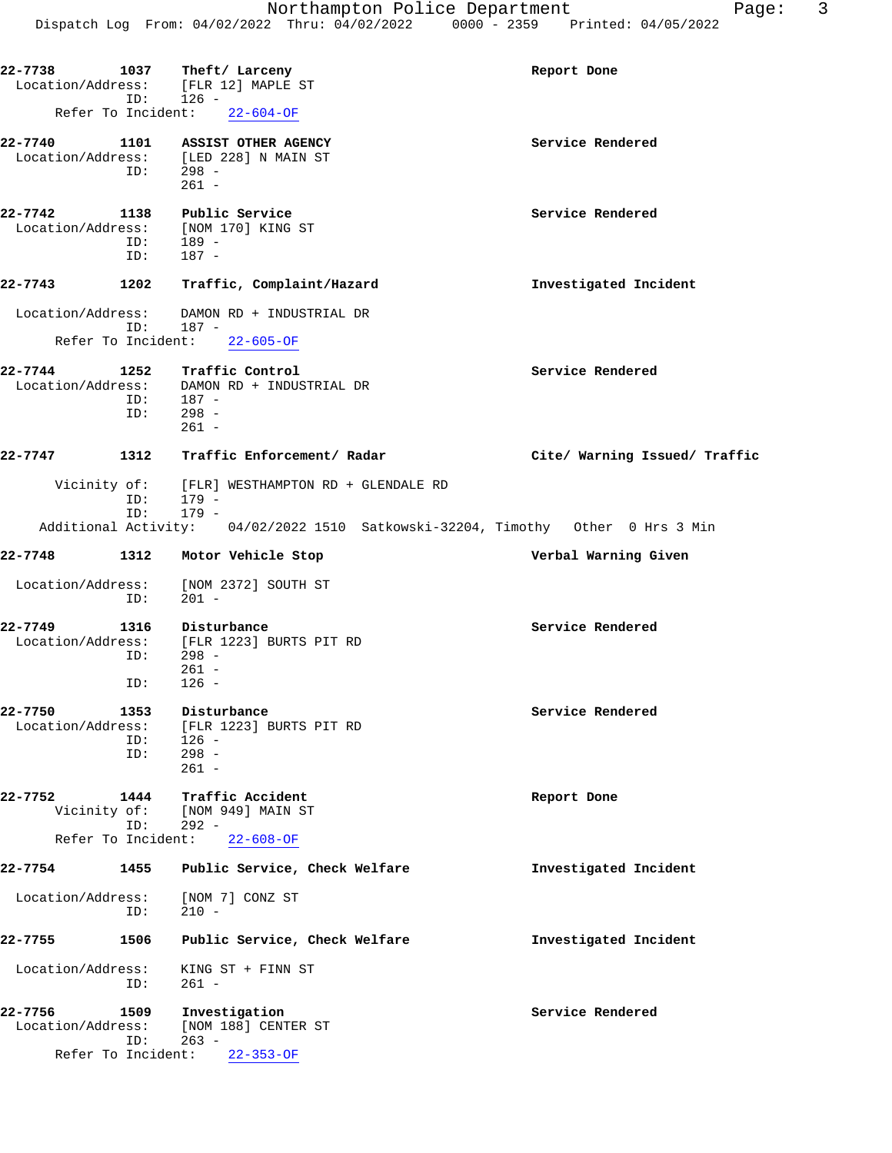| 22–7738            |            | 1037 Theft/Larceny                                                              | Report Done                   |
|--------------------|------------|---------------------------------------------------------------------------------|-------------------------------|
|                    | ID:        | Location/Address: [FLR 12] MAPLE ST<br>$126 -$                                  |                               |
| Refer To Incident: |            | $22 - 604 - OF$                                                                 |                               |
| 22-7740            | 1101       | <b>ASSIST OTHER AGENCY</b>                                                      | Service Rendered              |
|                    | ID: 298 -  | Location/Address: [LED 228] N MAIN ST                                           |                               |
|                    |            | $261 -$                                                                         |                               |
| 22-7742            | 1138       | Public Service                                                                  | Service Rendered              |
| Location/Address:  |            | [NOM 170] KING ST                                                               |                               |
|                    | ID:<br>ID: | $189 -$<br>187 -                                                                |                               |
| 22-7743            | 1202       | Traffic, Complaint/Hazard                                                       | Investigated Incident         |
|                    |            | Location/Address: DAMON RD + INDUSTRIAL DR                                      |                               |
| Refer To Incident: | ID: 187 -  | $22 - 605 - OF$                                                                 |                               |
|                    |            |                                                                                 |                               |
| 22-7744            | 1252       | Traffic Control<br>Location/Address: DAMON RD + INDUSTRIAL DR                   | Service Rendered              |
|                    | ID:        | $187 -$                                                                         |                               |
|                    | ID:        | $298 -$<br>$261 -$                                                              |                               |
| 22-7747            | 1312       | Traffic Enforcement/ Radar                                                      | Cite/ Warning Issued/ Traffic |
|                    |            |                                                                                 |                               |
|                    | ID:        | Vicinity of: [FLR] WESTHAMPTON RD + GLENDALE RD<br>179 -                        |                               |
|                    | ID:        | 179 -                                                                           |                               |
|                    |            | Additional Activity: 04/02/2022 1510 Satkowski-32204, Timothy Other 0 Hrs 3 Min |                               |
| 22-7748            | 1312       | Motor Vehicle Stop                                                              | Verbal Warning Given          |
| Location/Address:  |            | [NOM 2372] SOUTH ST                                                             |                               |
|                    | ID:        | $201 -$                                                                         |                               |
| 22-7749            | 1316       | Disturbance                                                                     | Service Rendered              |
|                    | ID:        | Location/Address: [FLR 1223] BURTS PIT RD<br>298 -                              |                               |
|                    |            | $261 -$                                                                         |                               |
|                    | ID:        | $126 -$                                                                         |                               |
| 22-7750            | 1353       | Disturbance                                                                     | Service Rendered              |
| Location/Address:  | ID:        | [FLR 1223] BURTS PIT RD<br>$126 -$                                              |                               |
|                    | ID:        | $298 -$                                                                         |                               |
|                    |            | $261 -$                                                                         |                               |
| 22-7752            | 1444       | Traffic Accident                                                                | Report Done                   |
| Vicinity of:       | ID:        | [NOM 949] MAIN ST<br>$292 -$                                                    |                               |
| Refer To Incident: |            | $22 - 608 - OF$                                                                 |                               |
| 22-7754            | 1455       | Public Service, Check Welfare                                                   | Investigated Incident         |
| Location/Address:  | ID:        | [NOM 7] CONZ ST<br>$210 -$                                                      |                               |
| 22-7755            | 1506       | Public Service, Check Welfare                                                   | Investigated Incident         |
| Location/Address:  |            | KING ST + FINN ST                                                               |                               |
|                    | ID:        | $261 -$                                                                         |                               |
| 22-7756            | 1509       | Investigation                                                                   | Service Rendered              |
| Location/Address:  | ID:        | [NOM 188] CENTER ST<br>$263 -$                                                  |                               |
| Refer To Incident: |            | $22 - 353 - OF$                                                                 |                               |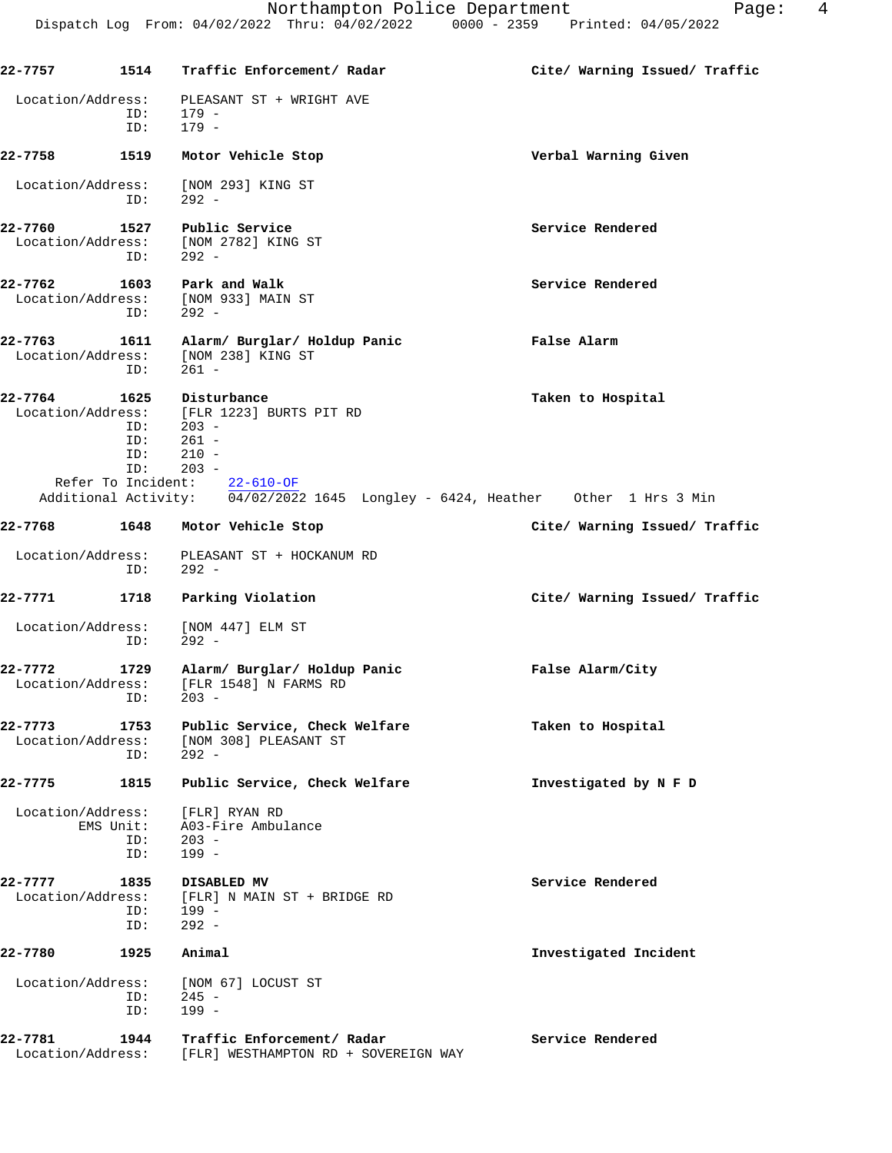Northampton Police Department Page: 4 Dispatch Log From: 04/02/2022 Thru: 04/02/2022 0000 - 2359 Printed: 04/05/2022 **22-7757 1514 Traffic Enforcement/ Radar Cite/ Warning Issued/ Traffic** Location/Address: PLEASANT ST + WRIGHT AVE ID: 179 -<br>ID: 179 - ID: 179 - **22-7758 1519 Motor Vehicle Stop Verbal Warning Given** Location/Address: [NOM 293] KING ST ID: 292 - **22-7760 1527 Public Service Service Rendered** Location/Address: [NOM 2782] KING ST ID: 292 - **22-7762** 1603 Park and Walk 10 22-7762 Location/Address: [NOM 933] MAIN ST ID: 292 - **22-7763 1611 Alarm/ Burglar/ Holdup Panic False Alarm** Location/Address: [NOM 238] KING ST ID: 261 - **22-7764 1625 Disturbance Taken to Hospital** Location/Address: [FLR 1223] BURTS PIT RD ID: 203 - ID: 261 - ID: 210 -<br>ID: 203 - ID: 203 - Refer To Incident: 22-610-OF Additional Activity: 04/02/2022 1645 Longley - 6424, Heather Other 1 Hrs 3 Min **22-7768 1648 Motor Vehicle Stop Cite/ Warning Issued/ Traffic** Location/Address: PLEASANT ST + HOCKANUM RD ID: 292 - **22-7771 1718 Parking Violation Cite/ Warning Issued/ Traffic** Location/Address: [NOM 447] ELM ST ID: 292 - **22-7772 1729 Alarm/ Burglar/ Holdup Panic False Alarm/City** Location/Address: [FLR 1548] N FARMS RD<br>ID: 203 -ID: **22-7773 1753 Public Service, Check Welfare Taken to Hospital** Location/Address: [NOM 308] PLEASANT ST<br>ID: 292 - $ID:$ **22-7775 1815 Public Service, Check Welfare Investigated by N F D** Location/Address: [FLR] RYAN RD EMS Unit: A03-Fire Ambulance ID: 203 -<br>ID: 199 - ID: 199 - **22-7777 1835 DISABLED MV Service Rendered** Location/Address: [FLR] N MAIN ST + BRIDGE RD<br>ID: 199 - ID: 199 - ID: 292 - **22-7780 1925 Animal Investigated Incident**

 Location/Address: [NOM 67] LOCUST ST ID: 245 - ID: 199 -

**22-7781 1944 Traffic Enforcement/ Radar Service Rendered** Location/Address: [FLR] WESTHAMPTON RD + SOVEREIGN WAY